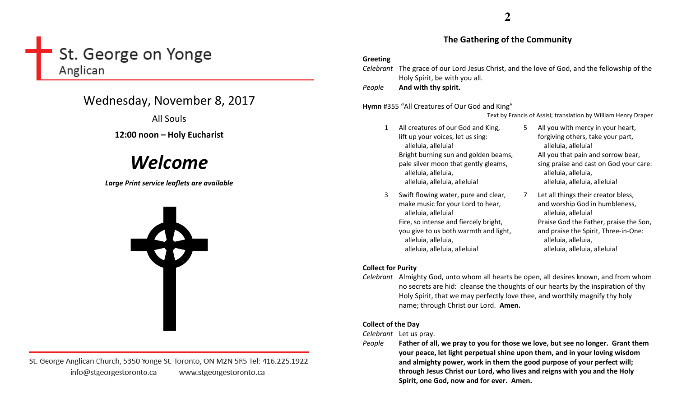# St. George on Yonge Anglican

# Wednesday, November 8, 2017

All Souls

# 12:00 noon – Holy Eucharist

# Welcome

Large Print service leaflets are available



St. George Anglican Church, 5350 Yonge St. Toronto, ON M2N 5R5 Tel: 416.225.1922 info@stgeorgestoronto.ca www.stgeorgestoronto.ca

# **2**

# The Gathering of the Community

# Greeting

Celebrant The grace of our Lord Jesus Christ, and the love of God, and the fellowship of the Holy Spirit, be with you all.

PeopleAnd with thy spirit.

# Hymn #355 "All Creatures of Our God and King"

Text by Francis of Assisi; translation by William Henry Draper

- 1 All creatures of our God and King, lift up your voices, let us sing: alleluia, alleluia! Bright burning sun and golden beams, pale silver moon that gently gleams, alleluia, alleluia, alleluia, alleluia, alleluia!
- 3 Swift flowing water, pure and clear, make music for your Lord to hear, alleluia, alleluia! Fire, so intense and fiercely bright, you give to us both warmth and light, alleluia, alleluia, alleluia, alleluia, alleluia!
- 5 All you with mercy in your heart, forgiving others, take your part, alleluia, alleluia! All you that pain and sorrow bear, sing praise and cast on God your care: alleluia, alleluia, alleluia, alleluia, alleluia!
- 7 Let all things their creator bless, and worship God in humbleness, alleluia, alleluia! Praise God the Father, praise the Son, and praise the Spirit, Three-in-One: alleluia, alleluia, alleluia, alleluia, alleluia!

# Collect for Purity

Celebrant Almighty God, unto whom all hearts be open, all desires known, and from whom no secrets are hid: cleanse the thoughts of our hearts by the inspiration of thy Holy Spirit, that we may perfectly love thee, and worthily magnify thy holy name; through Christ our Lord. Amen.

# Collect of the Day

Celebrant Let us pray.

People

 Father of all, we pray to you for those we love, but see no longer. Grant them your peace, let light perpetual shine upon them, and in your loving wisdom and almighty power, work in them the good purpose of your perfect will; through Jesus Christ our Lord, who lives and reigns with you and the Holy Spirit, one God, now and for ever. Amen.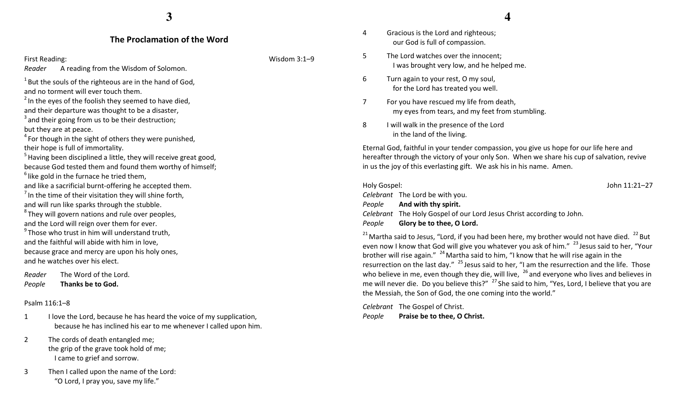# The Proclamation of the Word

Reader A reading from the Wisdom of Solomon.

 $1$  But the souls of the righteous are in the hand of God, and no torment will ever touch them.

 $2$  In the eyes of the foolish they seemed to have died, and their departure was thought to be a disaster,

 $3$  and their going from us to be their destruction;

but they are at peace.

 $4$  For though in the sight of others they were punished, their hope is full of immortality.

 $<sup>5</sup>$  Having been disciplined a little, they will receive great good,</sup> because God tested them and found them worthy of himself;  $6$  like gold in the furnace he tried them,

and like a sacrificial burnt-offering he accepted them.

 $<sup>7</sup>$  In the time of their visitation they will shine forth,</sup>

and will run like sparks through the stubble.

 $8$ They will govern nations and rule over peoples, and the Lord will reign over them for ever.

 $9$ Those who trust in him will understand truth, and the faithful will abide with him in love, because grace and mercy are upon his holy ones, and he watches over his elect.

Reader The Word of the Lord. PeopleThanks be to God.

#### Psalm 116:1–8

1 I love the Lord, because he has heard the voice of my supplication, because he has inclined his ear to me whenever I called upon him.

- 2 The cords of death entangled me; the grip of the grave took hold of me; I came to grief and sorrow.
- 3 Then I called upon the name of the Lord: "O Lord, I pray you, save my life."

First Reading: Wisdom 3:1–9

- **4**
- 4 Gracious is the Lord and righteous; our God is full of compassion.
- 5 The Lord watches over the innocent; I was brought very low, and he helped me.
- 6 Turn again to your rest, O my soul, for the Lord has treated you well.
- 7 For you have rescued my life from death, my eyes from tears, and my feet from stumbling.
- 8 I will walk in the presence of the Lord in the land of the living.

Eternal God, faithful in your tender compassion, you give us hope for our life here and hereafter through the victory of your only Son. When we share his cup of salvation, revive in us the joy of this everlasting gift. We ask his in his name. Amen.

#### Holy Gospel: John 11:21–27 Celebrant The Lord be with you. People And with thy spirit. Celebrant The Holy Gospel of our Lord Jesus Christ according to John. PeopleGlory be to thee, O Lord.

 $21$  Martha said to Jesus, "Lord, if you had been here, my brother would not have died.  $22$  But even now I know that God will give you whatever you ask of him."<sup>23</sup> Jesus said to her, "Your brother will rise again."  $^{24}$  Martha said to him, "I know that he will rise again in the resurrection on the last day."  $^{25}$  Jesus said to her, "I am the resurrection and the life. Those who believe in me, even though they die, will live,  $26$  and everyone who lives and believes in me will never die. Do you believe this?" <sup>27</sup> She said to him, "Yes, Lord, I believe that you are the Messiah, the Son of God, the one coming into the world."

Celebrant The Gospel of Christ. PeoplePraise be to thee, O Christ.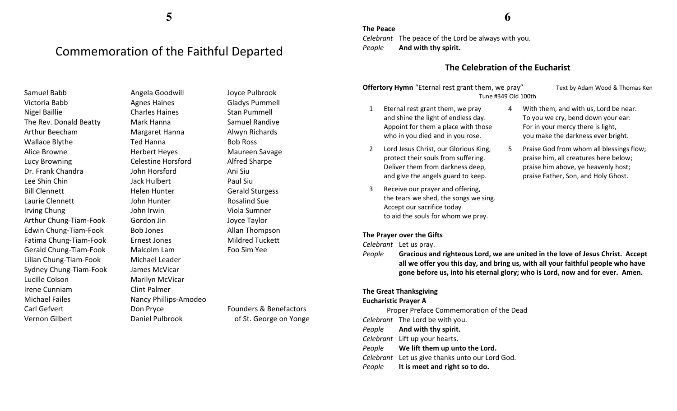# Commemoration of the Faithful Departed

Samuel Babb Victoria Babb Nigel Baillie The Rev. Donald Beatty Arthur Beecham Wallace Blythe Alice Browne Lucy Browning Dr. Frank Chandra Lee Shin Chin Bill Clennett Laurie Clennett Irving Chung Arthur Chung-Tiam-Fook Edwin Chung-Tiam-Fook Fatima Chung-Tiam-Fook Gerald Chung-Tiam-Fook Lilian Chung-Tiam-Fook Sydney Chung-Tiam-Fook Lucille Colson Irene Cunniam Michael Failes Carl Gefvert Vernon Gilbert

Angela Goodwill Agnes Haines Charles Haines Mark Hanna Margaret Hanna Ted Hanna Herbert Heyes Celestine Horsford John Horsford Jack Hulbert Helen Hunter John Hunter John Irwin Gordon Jin Bob Jones Ernest Jones Malcolm Lam Michael Leader James McVicar Marilyn McVicar Clint Palmer Nancy Phillips-Amodeo Don Pryce Daniel Pulbrook

Joyce Pulbrook Gladys Pummell Stan Pummell Samuel Randive Alwyn Richards Bob Ross Maureen Savage Alfred Sharpe Ani Siu Paul Siu Gerald Sturgess Rosalind Sue Viola Sumner Joyce Taylor Allan Thompson Mildred Tuckett Foo Sim Yee

Founders & Benefactors of St. George on Yonge

# **6**

Celebrant The peace of the Lord be always with you. PeopleAnd with thy spirit.

# The Celebration of the Eucharist

**Offertory Hymn** "Eternal rest grant them, we pray" Text by Adam Wood & Thomas Ken Tune #349 Old 100th

- 1 Eternal rest grant them, we pray and shine the light of endless day. Appoint for them a place with those who in you died and in you rose.
- 2 Lord Jesus Christ, our Glorious King, protect their souls from suffering. Deliver them from darkness deep, and give the angels guard to keep.
- 3 Receive our prayer and offering, the tears we shed, the songs we sing. Accept our sacrifice today to aid the souls for whom we pray.

## The Prayer over the Gifts

Celebrant Let us pray.

The Peace

People Gracious and righteous Lord, we are united in the love of Jesus Christ. Accept all we offer you this day, and bring us, with all your faithful people who have gone before us, into his eternal glory; who is Lord, now and for ever. Amen.

### The Great Thanksgiving

#### Eucharistic Prayer A

 Proper Preface Commemoration of the Dead Celebrant The Lord be with you. People And with thy spirit. Celebrant Lift up your hearts. People We lift them up unto the Lord. Celebrant Let us give thanks unto our Lord God. PeopleIt is meet and right so to do.

- 
- 4 With them, and with us, Lord be near. To you we cry, bend down your ear: For in your mercy there is light, you make the darkness ever bright.
- 5 Praise God from whom all blessings flow; praise him, all creatures here below; praise him above, ye heavenly host; praise Father, Son, and Holy Ghost.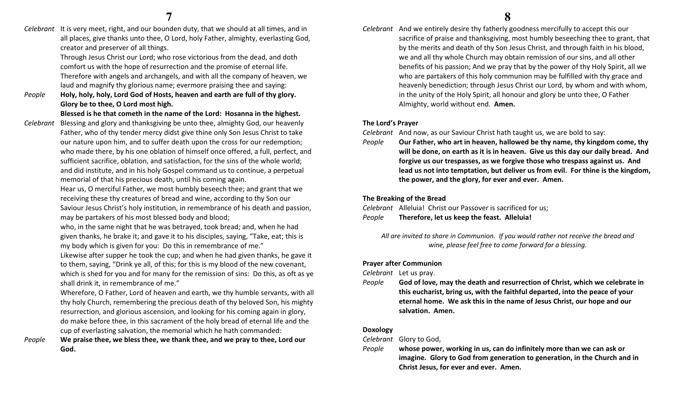Celebrant It is very meet, right, and our bounden duty, that we should at all times, and in all places, give thanks unto thee, O Lord, holy Father, almighty, everlasting God, creator and preserver of all things.

> Through Jesus Christ our Lord; who rose victorious from the dead, and doth comfort us with the hope of resurrection and the promise of eternal life. Therefore with angels and archangels, and with all the company of heaven, we laud and magnify thy glorious name; evermore praising thee and saying:

People Holy, holy, holy, Lord God of Hosts, heaven and earth are full of thy glory. Glory be to thee, O Lord most high.

# Blessed is he that cometh in the name of the Lord: Hosanna in the highest.

Celebrant Blessing and glory and thanksgiving be unto thee, almighty God, our heavenly Father, who of thy tender mercy didst give thine only Son Jesus Christ to take our nature upon him, and to suffer death upon the cross for our redemption; who made there, by his one oblation of himself once offered, a full, perfect, and sufficient sacrifice, oblation, and satisfaction, for the sins of the whole world; and did institute, and in his holy Gospel command us to continue, a perpetual memorial of that his precious death, until his coming again.

> Hear us, O merciful Father, we most humbly beseech thee; and grant that we receiving these thy creatures of bread and wine, according to thy Son our Saviour Jesus Christ's holy institution, in remembrance of his death and passion, may be partakers of his most blessed body and blood;

who, in the same night that he was betrayed, took bread; and, when he had given thanks, he brake it; and gave it to his disciples, saying, "Take, eat; this is my body which is given for you: Do this in remembrance of me."

Likewise after supper he took the cup; and when he had given thanks, he gave it to them, saying, "Drink ye all, of this; for this is my blood of the new covenant, which is shed for you and for many for the remission of sins: Do this, as oft as ye shall drink it, in remembrance of me."

Wherefore, O Father, Lord of heaven and earth, we thy humble servants, with all thy holy Church, remembering the precious death of thy beloved Son, his mighty resurrection, and glorious ascension, and looking for his coming again in glory, do make before thee, in this sacrament of the holy bread of eternal life and the cup of everlasting salvation, the memorial which he hath commanded:

 We praise thee, we bless thee, we thank thee, and we pray to thee, Lord our God.

Celebrant And we entirely desire thy fatherly goodness mercifully to accept this our sacrifice of praise and thanksgiving, most humbly beseeching thee to grant, that by the merits and death of thy Son Jesus Christ, and through faith in his blood, we and all thy whole Church may obtain remission of our sins, and all other benefits of his passion; And we pray that by the power of thy Holy Spirit, all we who are partakers of this holy communion may be fulfilled with thy grace and heavenly benediction; through Jesus Christ our Lord, by whom and with whom, in the unity of the Holy Spirit, all honour and glory be unto thee, O Father Almighty, world without end. Amen.

# The Lord's Prayer

Celebrant And now, as our Saviour Christ hath taught us, we are bold to say:

People Our Father, who art in heaven, hallowed be thy name, thy kingdom come, thy will be done, on earth as it is in heaven. Give us this day our daily bread. And forgive us our trespasses, as we forgive those who trespass against us. And lead us not into temptation, but deliver us from evil. For thine is the kingdom, the power, and the glory, for ever and ever. Amen.

# The Breaking of the Bread

Celebrant Alleluia! Christ our Passover is sacrificed for us; PeopleTherefore, let us keep the feast. Alleluia!

All are invited to share in Communion. If you would rather not receive the bread and wine, please feel free to come forward for a blessing.

# Prayer after Communion

Celebrant Let us pray.

People God of love, may the death and resurrection of Christ, which we celebrate in this eucharist, bring us, with the faithful departed, into the peace of your eternal home. We ask this in the name of Jesus Christ, our hope and our salvation. Amen.

# Doxology

Celebrant Glory to God,

People whose power, working in us, can do infinitely more than we can ask or imagine. Glory to God from generation to generation, in the Church and in Christ Jesus, for ever and ever. Amen.

People